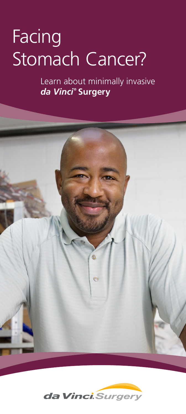# Facing Stomach Cancer?

Learn about minimally invasive *da Vinci* **® Surgery**



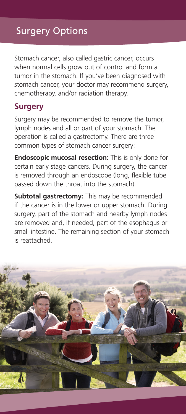# Surgery Options

Stomach cancer, also called gastric cancer, occurs when normal cells grow out of control and form a tumor in the stomach. If you've been diagnosed with stomach cancer, your doctor may recommend surgery, chemotherapy, and/or radiation therapy.

### **Surgery**

Surgery may be recommended to remove the tumor, lymph nodes and all or part of your stomach. The operation is called a gastrectomy. There are three common types of stomach cancer surgery:

**Endoscopic mucosal resection:** This is only done for certain early stage cancers. During surgery, the cancer is removed through an endoscope (long, flexible tube passed down the throat into the stomach).

**Subtotal gastrectomy:** This may be recommended if the cancer is in the lower or upper stomach. During surgery, part of the stomach and nearby lymph nodes are removed and, if needed, part of the esophagus or small intestine. The remaining section of your stomach is reattached.

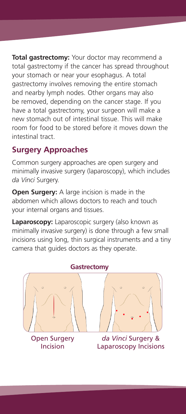**Total gastrectomy:** Your doctor may recommend a total gastrectomy if the cancer has spread throughout your stomach or near your esophagus. A total gastrectomy involves removing the entire stomach and nearby lymph nodes. Other organs may also be removed, depending on the cancer stage. If you have a total gastrectomy, your surgeon will make a new stomach out of intestinal tissue. This will make room for food to be stored before it moves down the intestinal tract.

### **Surgery Approaches**

Common surgery approaches are open surgery and minimally invasive surgery (laparoscopy), which includes *da Vinci* Surgery.

**Open Surgery:** A large incision is made in the abdomen which allows doctors to reach and touch your internal organs and tissues.

**Laparoscopy:** Laparoscopic surgery (also known as minimally invasive surgery) is done through a few small incisions using long, thin surgical instruments and a tiny camera that guides doctors as they operate.



Open Surgery Incision

*da Vinci* Surgery & Laparoscopy Incisions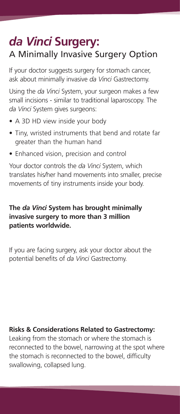# *da Vinci* **Surgery:** A Minimally Invasive Surgery Option

If your doctor suggests surgery for stomach cancer, ask about minimally invasive *da Vinci* Gastrectomy.

Using the *da Vinci* System, your surgeon makes a few small incisions - similar to traditional laparoscopy. The *da Vinci* System gives surgeons:

- A 3D HD view inside your body
- Tiny, wristed instruments that bend and rotate far greater than the human hand
- Enhanced vision, precision and control

Your doctor controls the *da Vinci* System, which translates his/her hand movements into smaller, precise movements of tiny instruments inside your body.

### **The** *da Vinci* **System has brought minimally invasive surgery to more than 3 million patients worldwide.**

If you are facing surgery, ask your doctor about the potential benefits of *da Vinci* Gastrectomy.

### **Risks & Considerations Related to Gastrectomy:**

Leaking from the stomach or where the stomach is reconnected to the bowel, narrowing at the spot where the stomach is reconnected to the bowel, difficulty swallowing, collapsed lung.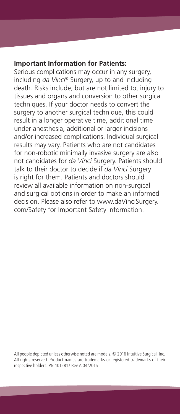#### **Important Information for Patients:**

Serious complications may occur in any surgery, including *da Vinci*® Surgery, up to and including death. Risks include, but are not limited to, injury to tissues and organs and conversion to other surgical techniques. If your doctor needs to convert the surgery to another surgical technique, this could result in a longer operative time, additional time under anesthesia, additional or larger incisions and/or increased complications. Individual surgical results may vary. Patients who are not candidates for non-robotic minimally invasive surgery are also not candidates for *da Vinci* Surgery. Patients should talk to their doctor to decide if *da Vinci* Surgery is right for them. Patients and doctors should review all available information on non-surgical and surgical options in order to make an informed decision. Please also refer to www.daVinciSurgery. com/Safety for Important Safety Information.

All people depicted unless otherwise noted are models. © 2016 Intuitive Surgical, Inc. All rights reserved. Product names are trademarks or registered trademarks of their respective holders. PN 1015817 Rev A 04/2016